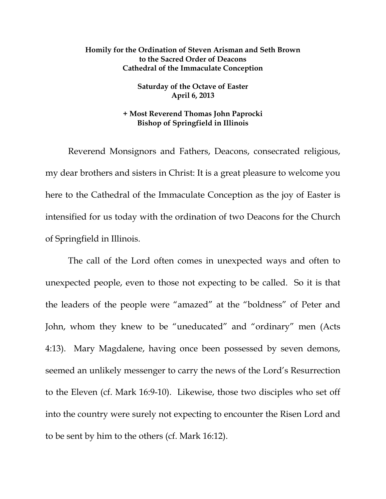## **Homily for the Ordination of Steven Arisman and Seth Brown to the Sacred Order of Deacons Cathedral of the Immaculate Conception**

**Saturday of the Octave of Easter April 6, 2013** 

## **+ Most Reverend Thomas John Paprocki Bishop of Springfield in Illinois**

 Reverend Monsignors and Fathers, Deacons, consecrated religious, my dear brothers and sisters in Christ: It is a great pleasure to welcome you here to the Cathedral of the Immaculate Conception as the joy of Easter is intensified for us today with the ordination of two Deacons for the Church of Springfield in Illinois.

 The call of the Lord often comes in unexpected ways and often to unexpected people, even to those not expecting to be called. So it is that the leaders of the people were "amazed" at the "boldness" of Peter and John, whom they knew to be "uneducated" and "ordinary" men (Acts 4:13). Mary Magdalene, having once been possessed by seven demons, seemed an unlikely messenger to carry the news of the Lord's Resurrection to the Eleven (cf. Mark 16:9-10). Likewise, those two disciples who set off into the country were surely not expecting to encounter the Risen Lord and to be sent by him to the others (cf. Mark 16:12).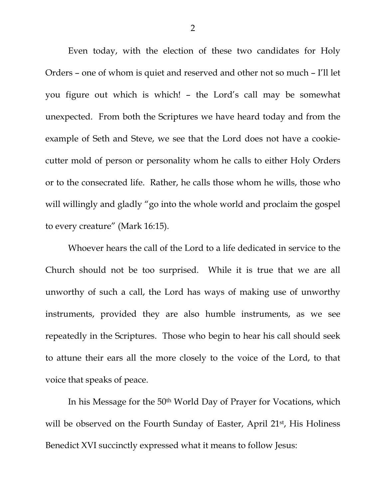Even today, with the election of these two candidates for Holy Orders – one of whom is quiet and reserved and other not so much – I'll let you figure out which is which! – the Lord's call may be somewhat unexpected. From both the Scriptures we have heard today and from the example of Seth and Steve, we see that the Lord does not have a cookiecutter mold of person or personality whom he calls to either Holy Orders or to the consecrated life. Rather, he calls those whom he wills, those who will willingly and gladly "go into the whole world and proclaim the gospel to every creature" (Mark 16:15).

 Whoever hears the call of the Lord to a life dedicated in service to the Church should not be too surprised. While it is true that we are all unworthy of such a call, the Lord has ways of making use of unworthy instruments, provided they are also humble instruments, as we see repeatedly in the Scriptures. Those who begin to hear his call should seek to attune their ears all the more closely to the voice of the Lord, to that voice that speaks of peace.

 In his Message for the 50th World Day of Prayer for Vocations, which will be observed on the Fourth Sunday of Easter, April 21<sup>st</sup>, His Holiness Benedict XVI succinctly expressed what it means to follow Jesus: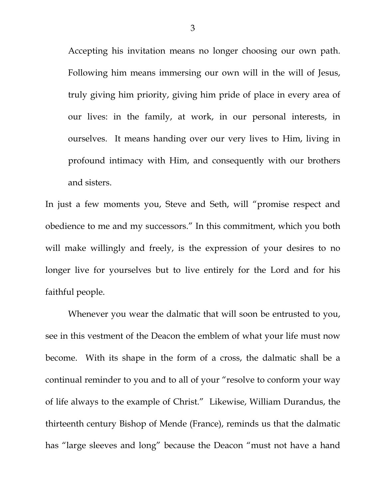Accepting his invitation means no longer choosing our own path. Following him means immersing our own will in the will of Jesus, truly giving him priority, giving him pride of place in every area of our lives: in the family, at work, in our personal interests, in ourselves. It means handing over our very lives to Him, living in profound intimacy with Him, and consequently with our brothers and sisters.

In just a few moments you, Steve and Seth, will "promise respect and obedience to me and my successors." In this commitment, which you both will make willingly and freely, is the expression of your desires to no longer live for yourselves but to live entirely for the Lord and for his faithful people.

 Whenever you wear the dalmatic that will soon be entrusted to you, see in this vestment of the Deacon the emblem of what your life must now become. With its shape in the form of a cross, the dalmatic shall be a continual reminder to you and to all of your "resolve to conform your way of life always to the example of Christ." Likewise, William Durandus, the thirteenth century Bishop of Mende (France), reminds us that the dalmatic has "large sleeves and long" because the Deacon "must not have a hand

3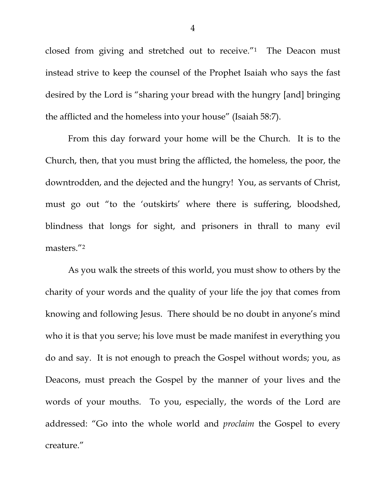closed from giving and stretched out to receive."1 The Deacon must instead strive to keep the counsel of the Prophet Isaiah who says the fast desired by the Lord is "sharing your bread with the hungry [and] bringing the afflicted and the homeless into your house" (Isaiah 58:7).

 From this day forward your home will be the Church. It is to the Church, then, that you must bring the afflicted, the homeless, the poor, the downtrodden, and the dejected and the hungry! You, as servants of Christ, must go out "to the 'outskirts' where there is suffering, bloodshed, blindness that longs for sight, and prisoners in thrall to many evil masters."2

 As you walk the streets of this world, you must show to others by the charity of your words and the quality of your life the joy that comes from knowing and following Jesus. There should be no doubt in anyone's mind who it is that you serve; his love must be made manifest in everything you do and say. It is not enough to preach the Gospel without words; you, as Deacons, must preach the Gospel by the manner of your lives and the words of your mouths. To you, especially, the words of the Lord are addressed: "Go into the whole world and *proclaim* the Gospel to every creature."